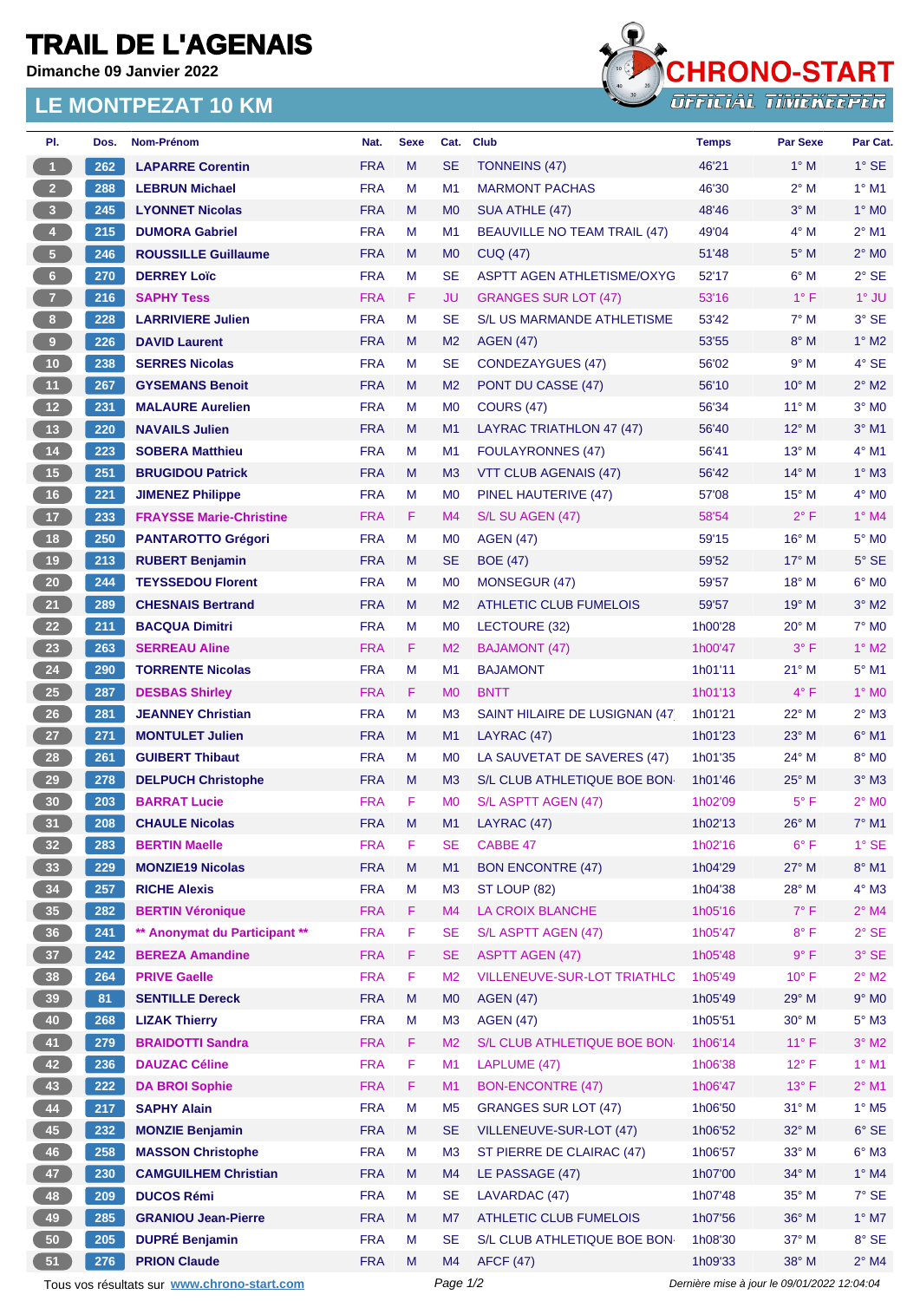## **TRAIL DE L'AGENAIS**

**Dimanche 09 Janvier 2022**

## **LE MONTPEZAT 10 KM**



| PI.                                         | Dos. | Nom-Prénom                     | Nat.       | <b>Sexe</b> | Cat.           | <b>Club</b>                         | <b>Temps</b> | <b>Par Sexe</b>                             | Par Cat.                 |
|---------------------------------------------|------|--------------------------------|------------|-------------|----------------|-------------------------------------|--------------|---------------------------------------------|--------------------------|
| 1                                           | 262  | <b>LAPARRE Corentin</b>        | <b>FRA</b> | M           | <b>SE</b>      | <b>TONNEINS (47)</b>                | 46'21        | $1^\circ$ M                                 | $1^\circ$ SE             |
| 2 <sup>7</sup>                              | 288  | <b>LEBRUN Michael</b>          | <b>FRA</b> | М           | M1             | <b>MARMONT PACHAS</b>               | 46'30        | $2^{\circ}$ M                               | $1°$ M1                  |
| 3                                           | 245  | <b>LYONNET Nicolas</b>         | <b>FRA</b> | M           | M <sub>0</sub> | SUA ATHLE (47)                      | 48'46        | $3°$ M                                      | $1^\circ$ MO             |
| $\overline{4}$                              | 215  | <b>DUMORA Gabriel</b>          | <b>FRA</b> | М           | M1             | <b>BEAUVILLE NO TEAM TRAIL (47)</b> | 49'04        | $4^\circ$ M                                 | $2^{\circ}$ M1           |
| 5 <sub>1</sub>                              | 246  | <b>ROUSSILLE Guillaume</b>     | <b>FRA</b> | M           | M <sub>0</sub> | <b>CUQ (47)</b>                     | 51'48        | $5^\circ$ M                                 | $2^{\circ}$ MO           |
| $6-1$                                       | 270  | <b>DERREY Loïc</b>             | <b>FRA</b> | M           | <b>SE</b>      | <b>ASPTT AGEN ATHLETISME/OXYG</b>   | 52'17        | $6^\circ$ M                                 | $2°$ SE                  |
| $\overline{7}$                              | 216  | <b>SAPHY Tess</b>              | <b>FRA</b> | F.          | JU             | <b>GRANGES SUR LOT (47)</b>         | 53'16        | $1^{\circ}$ F                               | $1^\circ$ JU             |
| 8 <sub>1</sub>                              | 228  | <b>LARRIVIERE Julien</b>       | <b>FRA</b> | M           | <b>SE</b>      | <b>S/L US MARMANDE ATHLETISME</b>   | 53'42        | $7^\circ$ M                                 | 3° SE                    |
| $\boldsymbol{9}$                            | 226  | <b>DAVID Laurent</b>           | <b>FRA</b> | M           | M <sub>2</sub> | <b>AGEN (47)</b>                    | 53'55        | $8^\circ$ M                                 | $1^\circ$ M2             |
| $10$                                        | 238  | <b>SERRES Nicolas</b>          | <b>FRA</b> | M           | <b>SE</b>      | <b>CONDEZAYGUES (47)</b>            | 56'02        | 9° M                                        | 4° SE                    |
| 11                                          | 267  | <b>GYSEMANS Benoit</b>         | <b>FRA</b> | M           | M <sub>2</sub> | PONT DU CASSE (47)                  | 56'10        | $10^{\circ}$ M                              | $2^{\circ}$ M2           |
| 12 <sup>7</sup>                             | 231  | <b>MALAURE Aurelien</b>        | <b>FRA</b> | м           | M <sub>0</sub> | <b>COURS (47)</b>                   | 56'34        | $11^{\circ}$ M                              | $3°$ MO                  |
| 13                                          | 220  | <b>NAVAILS Julien</b>          | <b>FRA</b> | M           | M1             | LAYRAC TRIATHLON 47 (47)            | 56'40        | $12^{\circ}$ M                              | $3°$ M1                  |
| 14                                          |      |                                | <b>FRA</b> | м           | M1             |                                     | 56'41        | $13^{\circ}$ M                              | $4°$ M1                  |
|                                             | 223  | <b>SOBERA Matthieu</b>         |            |             |                | <b>FOULAYRONNES (47)</b>            |              |                                             |                          |
| 15                                          | 251  | <b>BRUGIDOU Patrick</b>        | <b>FRA</b> | M           | M <sub>3</sub> | VTT CLUB AGENAIS (47)               | 56'42        | $14^{\circ}$ M                              | $1^\circ$ M3             |
| 16                                          | 221  | <b>JIMENEZ Philippe</b>        | <b>FRA</b> | М           | M <sub>0</sub> | PINEL HAUTERIVE (47)                | 57'08        | $15^{\circ}$ M                              | $4^\circ$ MO             |
| 17 <sub>2</sub>                             | 233  | <b>FRAYSSE Marie-Christine</b> | <b>FRA</b> | F.          | M4             | S/L SU AGEN (47)                    | 58'54        | $2^{\circ}$ F                               | $1^\circ$ M4             |
| 18                                          | 250  | <b>PANTAROTTO Grégori</b>      | <b>FRA</b> | м           | M <sub>0</sub> | <b>AGEN (47)</b>                    | 59'15        | 16° M                                       | $5^\circ$ MO             |
| 19                                          | 213  | <b>RUBERT Benjamin</b>         | <b>FRA</b> | M           | <b>SE</b>      | <b>BOE (47)</b>                     | 59'52        | 17° M                                       | $5^\circ$ SE             |
| $20\degree$                                 | 244  | <b>TEYSSEDOU Florent</b>       | <b>FRA</b> | М           | M <sub>0</sub> | MONSEGUR (47)                       | 59'57        | $18^{\circ}$ M                              | $6^{\circ}$ MO           |
| 21                                          | 289  | <b>CHESNAIS Bertrand</b>       | <b>FRA</b> | M           | M <sub>2</sub> | <b>ATHLETIC CLUB FUMELOIS</b>       | 59'57        | $19°$ M                                     | $3°$ M2                  |
| 22                                          | 211  | <b>BACQUA Dimitri</b>          | <b>FRA</b> | М           | M <sub>0</sub> | LECTOURE (32)                       | 1h00'28      | $20^{\circ}$ M                              | 7° M <sub>0</sub>        |
| 23                                          | 263  | <b>SERREAU Aline</b>           | <b>FRA</b> | F.          | M <sub>2</sub> | <b>BAJAMONT (47)</b>                | 1h00'47      | $3^{\circ}$ F                               | $1^\circ$ M2             |
| 24                                          | 290  | <b>TORRENTE Nicolas</b>        | <b>FRA</b> | М           | M1             | <b>BAJAMONT</b>                     | 1h01'11      | $21^{\circ}$ M                              | $5^{\circ}$ M1           |
| 25                                          | 287  | <b>DESBAS Shirley</b>          | <b>FRA</b> | F.          | M <sub>0</sub> | <b>BNTT</b>                         | 1h01'13      | $4^{\circ}$ F                               | $1^\circ$ MO             |
| $26\phantom{.}$                             | 281  | <b>JEANNEY Christian</b>       | <b>FRA</b> | M           | M <sub>3</sub> | SAINT HILAIRE DE LUSIGNAN (47)      | 1h01'21      | 22° M                                       | $2^{\circ}$ M3           |
| 27                                          | 271  | <b>MONTULET Julien</b>         | <b>FRA</b> | M           | M1             | LAYRAC (47)                         | 1h01'23      | $23^\circ$ M                                | $6°$ M1                  |
| 28                                          | 261  | <b>GUIBERT Thibaut</b>         | <b>FRA</b> | м           | M <sub>0</sub> | LA SAUVETAT DE SAVERES (47)         | 1h01'35      | 24° M                                       | 8° MO                    |
| 29                                          | 278  | <b>DELPUCH Christophe</b>      | <b>FRA</b> | M           | M <sub>3</sub> | S/L CLUB ATHLETIQUE BOE BON         | 1h01'46      | $25^{\circ}$ M                              | $3°$ M $3$               |
| 30                                          | 203  | <b>BARRAT Lucie</b>            | <b>FRA</b> | F           | M <sub>0</sub> | S/L ASPTT AGEN (47)                 | 1h02'09      | $5^{\circ}$ F                               | $2^{\circ}$ MO           |
| 31                                          | 208  | <b>CHAULE Nicolas</b>          | <b>FRA</b> | M           | M1             | LAYRAC (47)                         | 1h02'13      | $26^{\circ}$ M                              | $7^\circ$ M1             |
| 32 <sub>2</sub>                             | 283  | <b>BERTIN Maelle</b>           | <b>FRA</b> | F           | SE             | CABBE 47                            | 1h02'16      | $6^{\circ}$ F                               | $1^\circ$ SE             |
| 33                                          | 229  | <b>MONZIE19 Nicolas</b>        | <b>FRA</b> | M           | M1             | <b>BON ENCONTRE (47)</b>            | 1h04'29      | $27^\circ$ M                                | $8^\circ$ M1             |
| 34                                          | 257  | <b>RICHE Alexis</b>            | <b>FRA</b> | M           | M <sub>3</sub> | ST LOUP (82)                        | 1h04'38      | 28° M                                       | $4^\circ$ M3             |
| 35                                          | 282  | <b>BERTIN Véronique</b>        | <b>FRA</b> | F.          | M4             | LA CROIX BLANCHE                    | 1h05'16      | $7^\circ$ F                                 | $2^{\circ}$ M4           |
| 36                                          | 241  | ** Anonymat du Participant **  | <b>FRA</b> | F           | <b>SE</b>      | S/L ASPTT AGEN (47)                 | 1h05'47      | $8^{\circ}$ F                               | $2^{\circ}$ SE           |
| 37 <sup>°</sup>                             | 242  | <b>BEREZA Amandine</b>         | <b>FRA</b> | F.          | <b>SE</b>      | <b>ASPTT AGEN (47)</b>              | 1h05'48      | 9° F                                        | $3°$ SE                  |
| 38                                          | 264  | <b>PRIVE Gaelle</b>            | <b>FRA</b> | F           | M <sub>2</sub> | VILLENEUVE-SUR-LOT TRIATHLO         | 1h05'49      | $10^{\circ}$ F                              | $2^{\circ}$ M2           |
| 39                                          | 81   | <b>SENTILLE Dereck</b>         | <b>FRA</b> | M           | M <sub>0</sub> | <b>AGEN (47)</b>                    | 1h05'49      | 29° M                                       | $9^\circ$ MO             |
| 40                                          | 268  | <b>LIZAK Thierry</b>           | <b>FRA</b> | М           | M <sub>3</sub> | <b>AGEN (47)</b>                    | 1h05'51      | 30° M                                       | $5^\circ$ M3             |
| 41                                          | 279  | <b>BRAIDOTTI Sandra</b>        | <b>FRA</b> | F.          | M <sub>2</sub> | S/L CLUB ATHLETIQUE BOE BON         | 1h06'14      | $11^{\circ}$ F                              | $3^\circ$ M2             |
| 42                                          | 236  | <b>DAUZAC Céline</b>           | <b>FRA</b> | F           | M1             | LAPLUME (47)                        | 1h06'38      | $12^{\circ}$ F                              | $1^\circ$ M1             |
| 43                                          | 222  | <b>DA BROI Sophie</b>          | <b>FRA</b> | F.          | M1             | <b>BON-ENCONTRE (47)</b>            | 1h06'47      | $13°$ F                                     | $2^{\circ}$ M1           |
| 44                                          | 217  | <b>SAPHY Alain</b>             | <b>FRA</b> | M           | M <sub>5</sub> | <b>GRANGES SUR LOT (47)</b>         | 1h06'50      | $31^\circ$ M                                | $1^\circ$ M <sub>5</sub> |
|                                             |      |                                |            |             |                |                                     |              |                                             |                          |
| 45                                          | 232  | <b>MONZIE Benjamin</b>         | <b>FRA</b> | M           | <b>SE</b>      | VILLENEUVE-SUR-LOT (47)             | 1h06'52      | 32° M                                       | $6°$ SE                  |
| 46                                          | 258  | <b>MASSON Christophe</b>       | <b>FRA</b> | М           | M <sub>3</sub> | ST PIERRE DE CLAIRAC (47)           | 1h06'57      | 33° M                                       | $6^\circ$ M3             |
| 47                                          | 230  | <b>CAMGUILHEM Christian</b>    | <b>FRA</b> | M           | M4             | LE PASSAGE (47)                     | 1h07'00      | 34° M                                       | $1^\circ$ M4             |
| 48                                          | 209  | <b>DUCOS Rémi</b>              | <b>FRA</b> | М           | <b>SE</b>      | LAVARDAC (47)                       | 1h07'48      | 35° M                                       | $7°$ SE                  |
| 49                                          | 285  | <b>GRANIOU Jean-Pierre</b>     | <b>FRA</b> | M           | M7             | <b>ATHLETIC CLUB FUMELOIS</b>       | 1h07'56      | 36° M                                       | $1^\circ$ M7             |
| 50                                          | 205  | <b>DUPRÉ Benjamin</b>          | <b>FRA</b> | М           | <b>SE</b>      | S/L CLUB ATHLETIQUE BOE BON         | 1h08'30      | 37° M                                       | 8° SE                    |
| 51                                          | 276  | <b>PRION Claude</b>            | <b>FRA</b> | M           | M4             | <b>AFCF (47)</b>                    | 1h09'33      | 38° M                                       | $2^{\circ}$ M4           |
| Tous vos résultats sur www.chrono-start.com |      |                                |            |             | Page 1/2       |                                     |              | Dernière mise à jour le 09/01/2022 12:04:04 |                          |